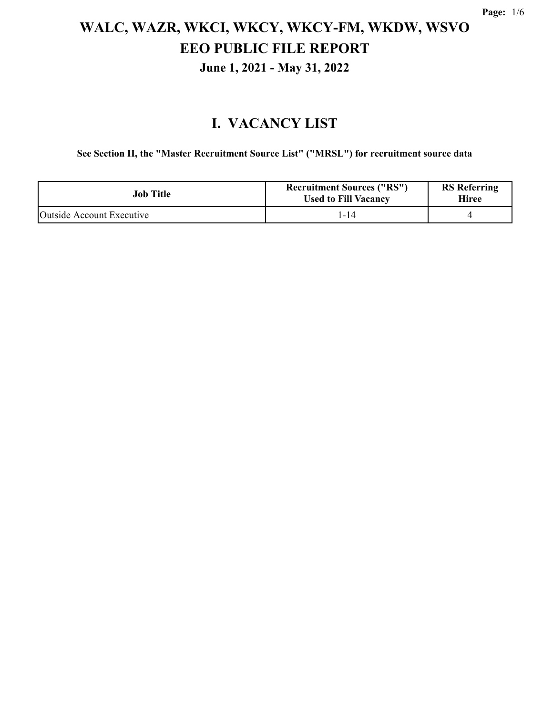#### **I. VACANCY LIST**

**See Section II, the "Master Recruitment Source List" ("MRSL") for recruitment source data**

| Job Title                 | <b>Recruitment Sources ("RS")</b><br><b>Used to Fill Vacancy</b> | <b>RS</b> Referring<br>Hiree |
|---------------------------|------------------------------------------------------------------|------------------------------|
| Outside Account Executive | 1-14                                                             |                              |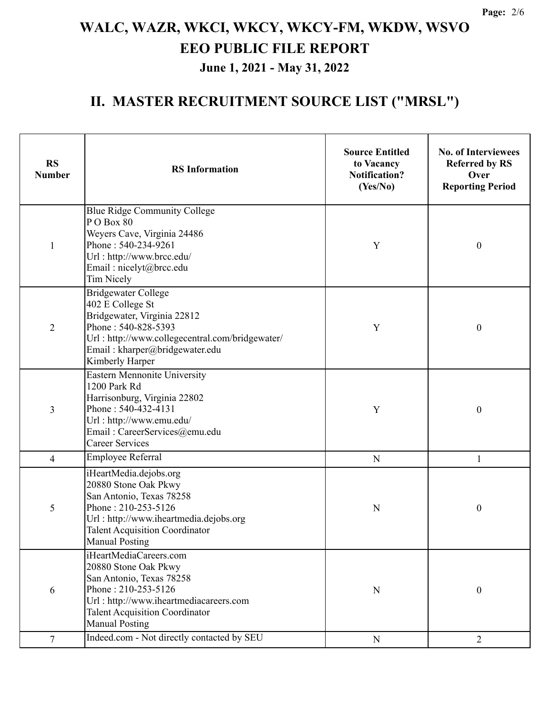#### **II. MASTER RECRUITMENT SOURCE LIST ("MRSL")**

| <b>RS</b><br><b>Number</b> | <b>RS</b> Information                                                                                                                                                                                         | <b>Source Entitled</b><br>to Vacancy<br><b>Notification?</b><br>(Yes/No) | <b>No. of Interviewees</b><br><b>Referred by RS</b><br>Over<br><b>Reporting Period</b> |  |
|----------------------------|---------------------------------------------------------------------------------------------------------------------------------------------------------------------------------------------------------------|--------------------------------------------------------------------------|----------------------------------------------------------------------------------------|--|
| $\mathbf{1}$               | Blue Ridge Community College<br>PO Box 80<br>Weyers Cave, Virginia 24486<br>Phone: 540-234-9261<br>Url: http://www.brcc.edu/<br>Email: nicelyt@brcc.edu<br><b>Tim Nicely</b>                                  | Y                                                                        | $\boldsymbol{0}$                                                                       |  |
| $\overline{2}$             | <b>Bridgewater College</b><br>402 E College St<br>Bridgewater, Virginia 22812<br>Phone: 540-828-5393<br>Url: http://www.collegecentral.com/bridgewater/<br>Email: kharper@bridgewater.edu<br>Kimberly Harper  | Y                                                                        | $\boldsymbol{0}$                                                                       |  |
| 3                          | <b>Eastern Mennonite University</b><br>1200 Park Rd<br>Harrisonburg, Virginia 22802<br>Phone: 540-432-4131<br>Url: http://www.emu.edu/<br>Email: CareerServices@emu.edu<br><b>Career Services</b>             | Y                                                                        | $\boldsymbol{0}$                                                                       |  |
| $\overline{\mathcal{A}}$   | Employee Referral                                                                                                                                                                                             | ${\bf N}$                                                                | $\mathbf{1}$                                                                           |  |
| 5                          | iHeartMedia.dejobs.org<br>20880 Stone Oak Pkwy<br>San Antonio, Texas 78258<br>Phone: 210-253-5126<br>Url: http://www.iheartmedia.dejobs.org<br><b>Talent Acquisition Coordinator</b><br><b>Manual Posting</b> | N                                                                        | $\boldsymbol{0}$                                                                       |  |
| 6                          | iHeartMediaCareers.com<br>20880 Stone Oak Pkwy<br>San Antonio, Texas 78258<br>Phone: 210-253-5126<br>Url: http://www.iheartmediacareers.com<br><b>Talent Acquisition Coordinator</b><br><b>Manual Posting</b> | ${\bf N}$                                                                | $\boldsymbol{0}$                                                                       |  |
| 7                          | Indeed.com - Not directly contacted by SEU                                                                                                                                                                    | ${\bf N}$                                                                | $\overline{2}$                                                                         |  |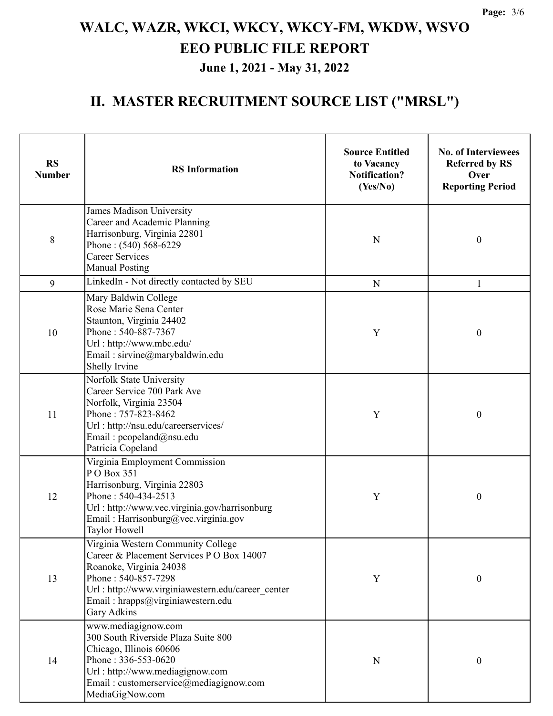#### **II. MASTER RECRUITMENT SOURCE LIST ("MRSL")**

| <b>RS</b><br><b>Number</b> | <b>RS</b> Information                                                                                                                                                                                                                       | <b>Source Entitled</b><br>to Vacancy<br><b>Notification?</b><br>(Yes/No) | <b>No. of Interviewees</b><br><b>Referred by RS</b><br>Over<br><b>Reporting Period</b> |
|----------------------------|---------------------------------------------------------------------------------------------------------------------------------------------------------------------------------------------------------------------------------------------|--------------------------------------------------------------------------|----------------------------------------------------------------------------------------|
| 8                          | James Madison University<br>Career and Academic Planning<br>Harrisonburg, Virginia 22801<br>Phone: (540) 568-6229<br><b>Career Services</b><br><b>Manual Posting</b>                                                                        | $\mathbf N$                                                              | $\boldsymbol{0}$                                                                       |
| 9                          | LinkedIn - Not directly contacted by SEU                                                                                                                                                                                                    | ${\bf N}$                                                                | $\mathbf{1}$                                                                           |
| 10                         | Mary Baldwin College<br>Rose Marie Sena Center<br>Staunton, Virginia 24402<br>Phone: 540-887-7367<br>Url: http://www.mbc.edu/<br>Email: sirvine@marybaldwin.edu<br>Shelly Irvine                                                            | Y                                                                        | $\boldsymbol{0}$                                                                       |
| 11                         | Norfolk State University<br>Career Service 700 Park Ave<br>Norfolk, Virginia 23504<br>Phone: 757-823-8462<br>Url: http://nsu.edu/careerservices/<br>Email: pcopeland@nsu.edu<br>Patricia Copeland                                           | Y                                                                        | $\boldsymbol{0}$                                                                       |
| 12                         | Virginia Employment Commission<br>PO Box 351<br>Harrisonburg, Virginia 22803<br>Phone: 540-434-2513<br>Url: http://www.vec.virginia.gov/harrisonburg<br>Email: Harrisonburg@vec.virginia.gov<br>Taylor Howell                               | Y                                                                        | $\boldsymbol{0}$                                                                       |
| 13                         | Virginia Western Community College<br>Career & Placement Services P O Box 14007<br>Roanoke, Virginia 24038<br>Phone: 540-857-7298<br>Url : http://www.virginiawestern.edu/career center<br>Email: hrapps@virginiawestern.edu<br>Gary Adkins | Y                                                                        | $\boldsymbol{0}$                                                                       |
| 14                         | www.mediagignow.com<br>300 South Riverside Plaza Suite 800<br>Chicago, Illinois 60606<br>Phone: 336-553-0620<br>Url: http://www.mediagignow.com<br>Email: customerservice@mediagignow.com<br>MediaGigNow.com                                | N                                                                        | $\boldsymbol{0}$                                                                       |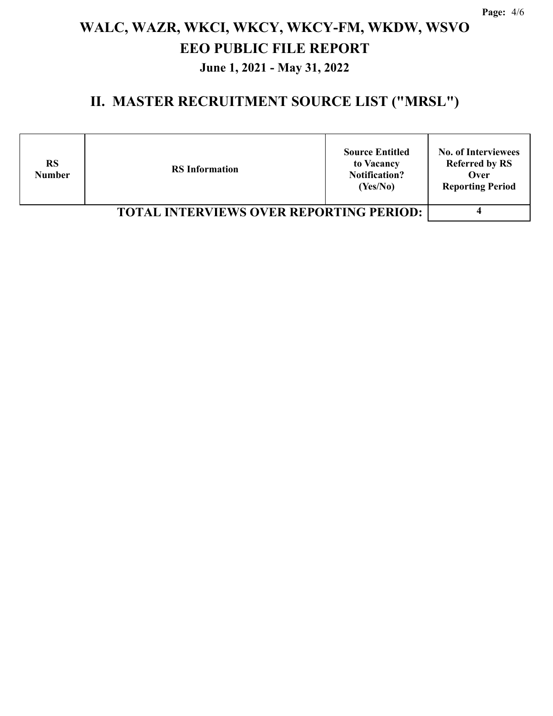#### **II. MASTER RECRUITMENT SOURCE LIST ("MRSL")**

| <b>RS</b><br><b>Number</b> | <b>Source Entitled</b><br>to Vacancy<br><b>RS</b> Information<br><b>Notification?</b><br>(Yes/No) | <b>No. of Interviewees</b><br><b>Referred by RS</b><br>Over<br><b>Reporting Period</b> |
|----------------------------|---------------------------------------------------------------------------------------------------|----------------------------------------------------------------------------------------|
|                            |                                                                                                   |                                                                                        |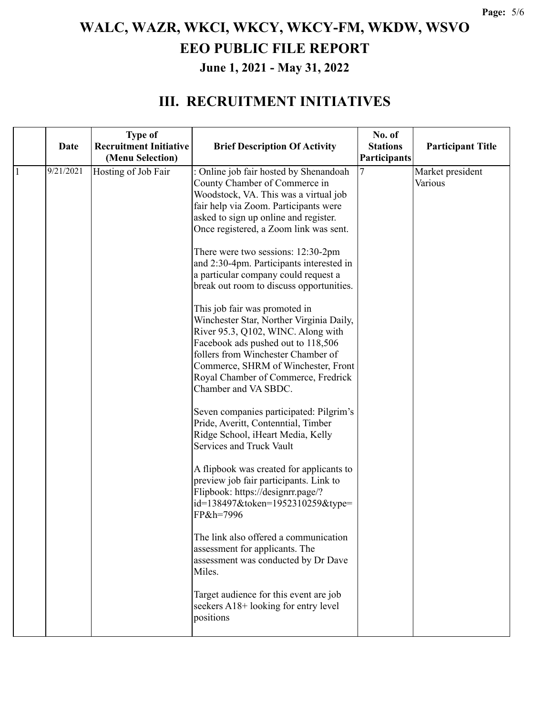#### **III. RECRUITMENT INITIATIVES**

|    | <b>Date</b> | <b>Type of</b><br><b>Recruitment Initiative</b><br>(Menu Selection) | <b>Brief Description Of Activity</b>                                                                                                                                                                                                                                                                                                                                                                                                                                                                                                                                                                                                                                                                                                                                                                                                                                                                                                                                                                                                                                                                                                                                                                                                                                              | No. of<br><b>Stations</b><br>Participants | <b>Participant Title</b>    |
|----|-------------|---------------------------------------------------------------------|-----------------------------------------------------------------------------------------------------------------------------------------------------------------------------------------------------------------------------------------------------------------------------------------------------------------------------------------------------------------------------------------------------------------------------------------------------------------------------------------------------------------------------------------------------------------------------------------------------------------------------------------------------------------------------------------------------------------------------------------------------------------------------------------------------------------------------------------------------------------------------------------------------------------------------------------------------------------------------------------------------------------------------------------------------------------------------------------------------------------------------------------------------------------------------------------------------------------------------------------------------------------------------------|-------------------------------------------|-----------------------------|
| -1 | 9/21/2021   | Hosting of Job Fair                                                 | : Online job fair hosted by Shenandoah<br>County Chamber of Commerce in<br>Woodstock, VA. This was a virtual job<br>fair help via Zoom. Participants were<br>asked to sign up online and register.<br>Once registered, a Zoom link was sent.<br>There were two sessions: 12:30-2pm<br>and 2:30-4pm. Participants interested in<br>a particular company could request a<br>break out room to discuss opportunities.<br>This job fair was promoted in<br>Winchester Star, Norther Virginia Daily,<br>River 95.3, Q102, WINC. Along with<br>Facebook ads pushed out to 118,506<br>follers from Winchester Chamber of<br>Commerce, SHRM of Winchester, Front<br>Royal Chamber of Commerce, Fredrick<br>Chamber and VA SBDC.<br>Seven companies participated: Pilgrim's<br>Pride, Averitt, Contenntial, Timber<br>Ridge School, iHeart Media, Kelly<br>Services and Truck Vault<br>A flipbook was created for applicants to<br>preview job fair participants. Link to<br>Flipbook: https://designrr.page/?<br>id=138497&token=1952310259&type=<br>FP&h=7996<br>The link also offered a communication<br>assessment for applicants. The<br>assessment was conducted by Dr Dave<br>Miles.<br>Target audience for this event are job<br>seekers A18+ looking for entry level<br>positions |                                           | Market president<br>Various |